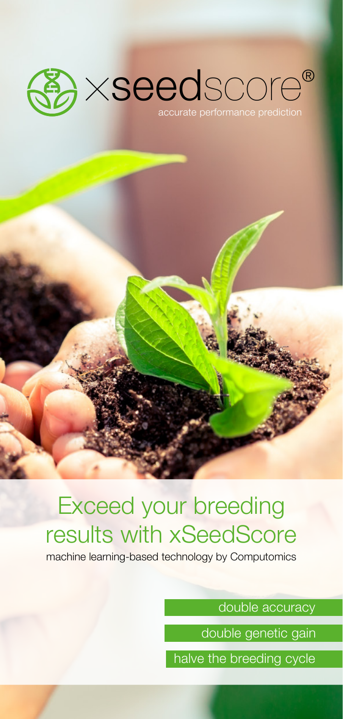

## Exceed your breeding results with xSeedScore

machine learning-based technology by Computomics

double accuracy

double genetic gain

halve the breeding cycle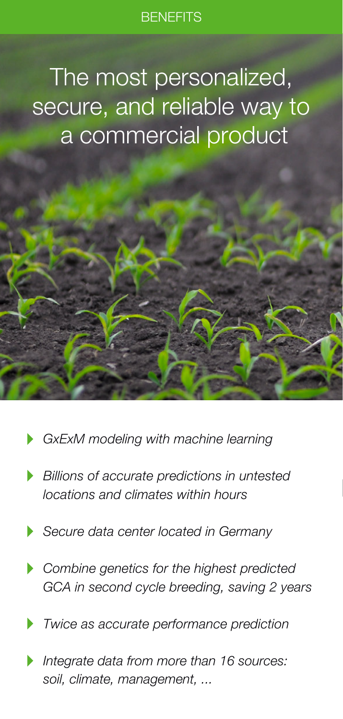### **BENEFITS**

# The most personalized, secure, and reliable way to a commercial product

- *GxExM modeling with machine learning*
- *Billions of accurate predictions in untested locations and climates within hours*
- *Secure data center located in Germany*
- *Combine genetics for the highest predicted GCA in second cycle breeding, saving 2 years*
- *Twice as accurate performance prediction*
- *Integrate data from more than 16 sources: soil, climate, management, ...*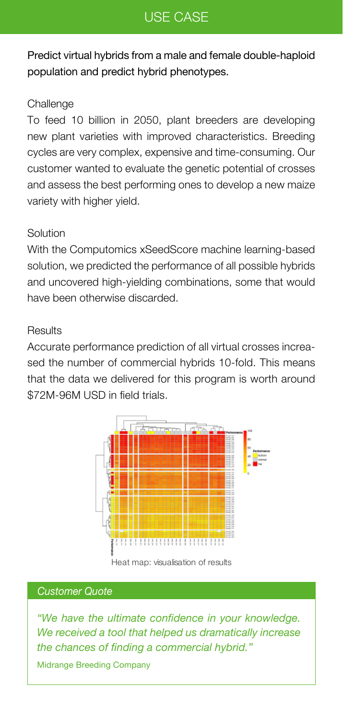## USE CASE

Predict virtual hybrids from a male and female double-haploid population and predict hybrid phenotypes.

### **Challenge**

To feed 10 billion in 2050, plant breeders are developing new plant varieties with improved characteristics. Breeding cycles are very complex, expensive and time-consuming. Our customer wanted to evaluate the genetic potential of crosses and assess the best performing ones to develop a new maize variety with higher yield.

### **Solution**

With the Computomics xSeedScore machine learning-based solution, we predicted the performance of all possible hybrids and uncovered high-yielding combinations, some that would have been otherwise discarded.

#### **Results**

Accurate performance prediction of all virtual crosses increased the number of commercial hybrids 10-fold. This means that the data we delivered for this program is worth around \$72M-96M USD in field trials.



Heat map: visualisation of results

#### *Customer Quote*

*"We have the ultimate confidence in your knowledge. We received a tool that helped us dramatically increase the chances of finding a commercial hybrid."*

Midrange Breeding Company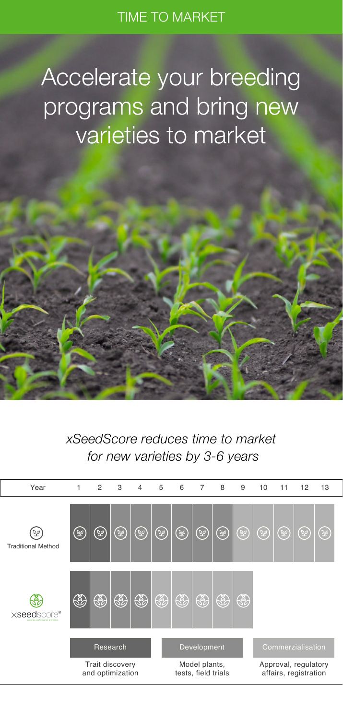Accelerate your breeding programs and bring new varieties to market

*xSeedScore reduces time to market for new varieties by 3-6 years*

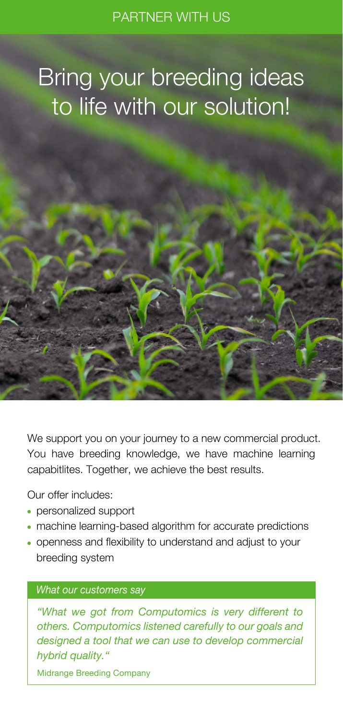# Bring your breeding ideas to life with our solution!



We support you on your journey to a new commercial product. You have breeding knowledge, we have machine learning capabitlites. Together, we achieve the best results.

Our offer includes:

- personalized support
- machine learning-based algorithm for accurate predictions
- openness and flexibility to understand and adjust to your breeding system

#### *What our customers say*

*"What we got from Computomics is very different to others. Computomics listened carefully to our goals and designed a tool that we can use to develop commercial hybrid quality."*

Midrange Breeding Company